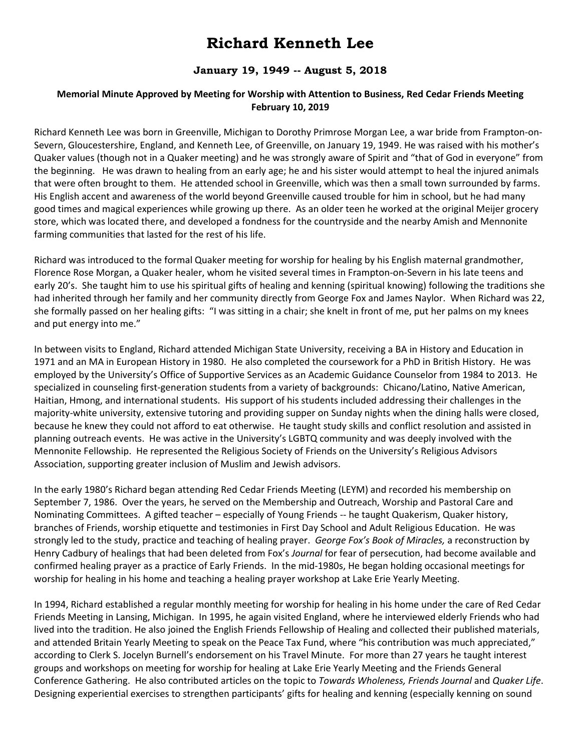## **Richard Kenneth Lee**

## **January 19, 1949 -- August 5, 2018**

## **Memorial Minute Approved by Meeting for Worship with Attention to Business, Red Cedar Friends Meeting February 10, 2019**

Richard Kenneth Lee was born in Greenville, Michigan to Dorothy Primrose Morgan Lee, a war bride from Frampton-on-Severn, Gloucestershire, England, and Kenneth Lee, of Greenville, on January 19, 1949. He was raised with his mother's Quaker values (though not in a Quaker meeting) and he was strongly aware of Spirit and "that of God in everyone" from the beginning. He was drawn to healing from an early age; he and his sister would attempt to heal the injured animals that were often brought to them. He attended school in Greenville, which was then a small town surrounded by farms. His English accent and awareness of the world beyond Greenville caused trouble for him in school, but he had many good times and magical experiences while growing up there. As an older teen he worked at the original Meijer grocery store, which was located there, and developed a fondness for the countryside and the nearby Amish and Mennonite farming communities that lasted for the rest of his life.

Richard was introduced to the formal Quaker meeting for worship for healing by his English maternal grandmother, Florence Rose Morgan, a Quaker healer, whom he visited several times in Frampton-on-Severn in his late teens and early 20's. She taught him to use his spiritual gifts of healing and kenning (spiritual knowing) following the traditions she had inherited through her family and her community directly from George Fox and James Naylor. When Richard was 22, she formally passed on her healing gifts: "I was sitting in a chair; she knelt in front of me, put her palms on my knees and put energy into me."

In between visits to England, Richard attended Michigan State University, receiving a BA in History and Education in 1971 and an MA in European History in 1980. He also completed the coursework for a PhD in British History. He was employed by the University's Office of Supportive Services as an Academic Guidance Counselor from 1984 to 2013. He specialized in counseling first-generation students from a variety of backgrounds: Chicano/Latino, Native American, Haitian, Hmong, and international students. His support of his students included addressing their challenges in the majority-white university, extensive tutoring and providing supper on Sunday nights when the dining halls were closed, because he knew they could not afford to eat otherwise. He taught study skills and conflict resolution and assisted in planning outreach events. He was active in the University's LGBTQ community and was deeply involved with the Mennonite Fellowship. He represented the Religious Society of Friends on the University's Religious Advisors Association, supporting greater inclusion of Muslim and Jewish advisors.

In the early 1980's Richard began attending Red Cedar Friends Meeting (LEYM) and recorded his membership on September 7, 1986. Over the years, he served on the Membership and Outreach, Worship and Pastoral Care and Nominating Committees. A gifted teacher – especially of Young Friends -- he taught Quakerism, Quaker history, branches of Friends, worship etiquette and testimonies in First Day School and Adult Religious Education. He was strongly led to the study, practice and teaching of healing prayer. *George Fox's Book of Miracles,* a reconstruction by Henry Cadbury of healings that had been deleted from Fox's *Journal* for fear of persecution, had become available and confirmed healing prayer as a practice of Early Friends. In the mid‐1980s, He began holding occasional meetings for worship for healing in his home and teaching a healing prayer workshop at Lake Erie Yearly Meeting.

In 1994, Richard established a regular monthly meeting for worship for healing in his home under the care of Red Cedar Friends Meeting in Lansing, Michigan. In 1995, he again visited England, where he interviewed elderly Friends who had lived into the tradition. He also joined the English Friends Fellowship of Healing and collected their published materials, and attended Britain Yearly Meeting to speak on the Peace Tax Fund, where "his contribution was much appreciated," according to Clerk S. Jocelyn Burnell's endorsement on his Travel Minute. For more than 27 years he taught interest groups and workshops on meeting for worship for healing at Lake Erie Yearly Meeting and the Friends General Conference Gathering. He also contributed articles on the topic to *Towards Wholeness, Friends Journal* and *Quaker Life*. Designing experiential exercises to strengthen participants' gifts for healing and kenning (especially kenning on sound